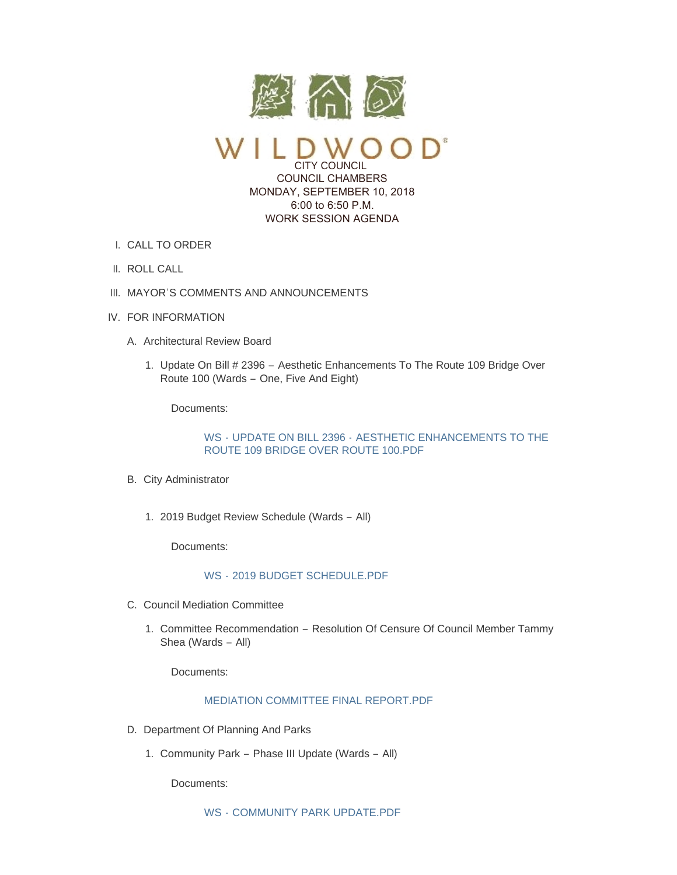

CITY COUNCIL COUNCIL CHAMBERS MONDAY, SEPTEMBER 10, 2018 6:00 to 6:50 P.M. WORK SESSION AGENDA

- CALL TO ORDER I.
- II. ROLL CALL
- III. MAYOR'S COMMENTS AND ANNOUNCEMENTS
- IV. FOR INFORMATION
	- A. Architectural Review Board
		- 1. Update On Bill # 2396 Aesthetic Enhancements To The Route 109 Bridge Over Route 100 (Wards – One, Five And Eight)

Documents:

WS - UPDATE ON BILL 2396 - AESTHETIC ENHANCEMENTS TO THE [ROUTE 109 BRIDGE OVER ROUTE 100.PDF](https://www.cityofwildwood.com/AgendaCenter/ViewFile/Item/17037?fileID=24335)

- B. City Administrator
	- 2019 Budget Review Schedule (Wards All) 1.

Documents:

## WS - [2019 BUDGET SCHEDULE.PDF](https://www.cityofwildwood.com/AgendaCenter/ViewFile/Item/17111?fileID=24364)

- C. Council Mediation Committee
	- 1. Committee Recommendation Resolution Of Censure Of Council Member Tammy Shea (Wards – All)

Documents:

# [MEDIATION COMMITTEE FINAL REPORT.PDF](https://www.cityofwildwood.com/AgendaCenter/ViewFile/Item/17112?fileID=24365)

- D. Department Of Planning And Parks
	- 1. Community Park Phase III Update (Wards All)

Documents: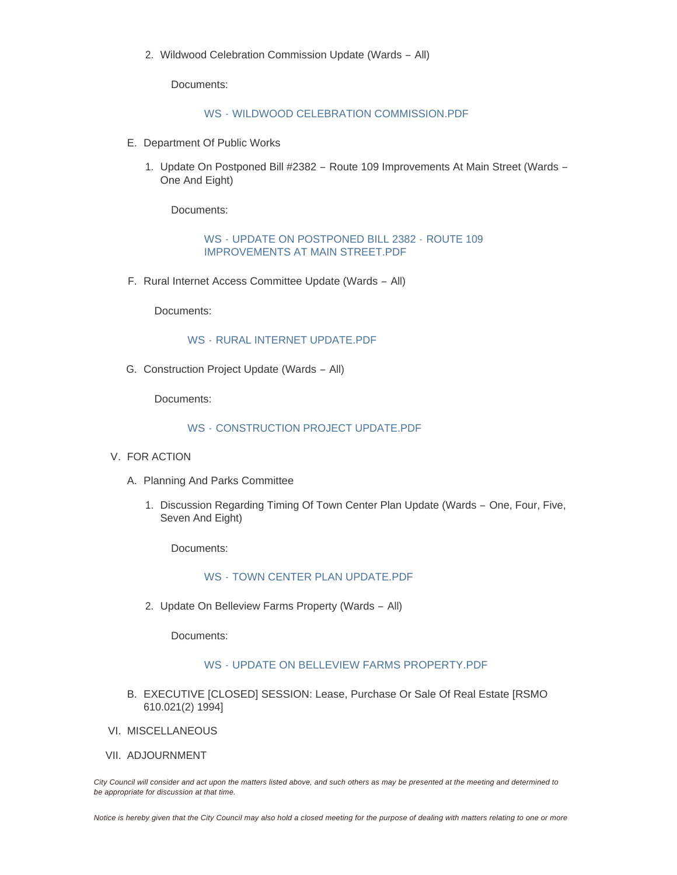Wildwood Celebration Commission Update (Wards – All) 2.

Documents:

WS - [WILDWOOD CELEBRATION COMMISSION.PDF](https://www.cityofwildwood.com/AgendaCenter/ViewFile/Item/17044?fileID=24344)

- E. Department Of Public Works
	- 1. Update On Postponed Bill #2382 Route 109 Improvements At Main Street (Wards -One And Eight)

Documents:

WS - UPDATE ON POSTPONED BILL 2382 - ROUTE 109 [IMPROVEMENTS AT MAIN STREET.PDF](https://www.cityofwildwood.com/AgendaCenter/ViewFile/Item/17046?fileID=24343)

F. Rural Internet Access Committee Update (Wards - All)

Documents:

## WS - [RURAL INTERNET UPDATE.PDF](https://www.cityofwildwood.com/AgendaCenter/ViewFile/Item/17047?fileID=24338)

G. Construction Project Update (Wards - All)

Documents:

#### WS - [CONSTRUCTION PROJECT UPDATE.PDF](https://www.cityofwildwood.com/AgendaCenter/ViewFile/Item/17048?fileID=24339)

- V. FOR ACTION
	- A. Planning And Parks Committee
		- 1. Discussion Regarding Timing Of Town Center Plan Update (Wards One, Four, Five, Seven And Eight)

Documents:

# WS - [TOWN CENTER PLAN UPDATE.PDF](https://www.cityofwildwood.com/AgendaCenter/ViewFile/Item/17056?fileID=24342)

2. Update On Belleview Farms Property (Wards - All)

Documents:

## WS - [UPDATE ON BELLEVIEW FARMS PROPERTY.PDF](https://www.cityofwildwood.com/AgendaCenter/ViewFile/Item/17052?fileID=24341)

- B. EXECUTIVE [CLOSED] SESSION: Lease, Purchase Or Sale Of Real Estate [RSMO 610.021(2) 1994]
- VI. MISCELLANEOUS
- VII. ADJOURNMENT

*City Council will consider and act upon the matters listed above, and such others as may be presented at the meeting and determined to be appropriate for discussion at that time.*

*Notice is hereby given that the City Council may also hold a closed meeting for the purpose of dealing with matters relating to one or more*